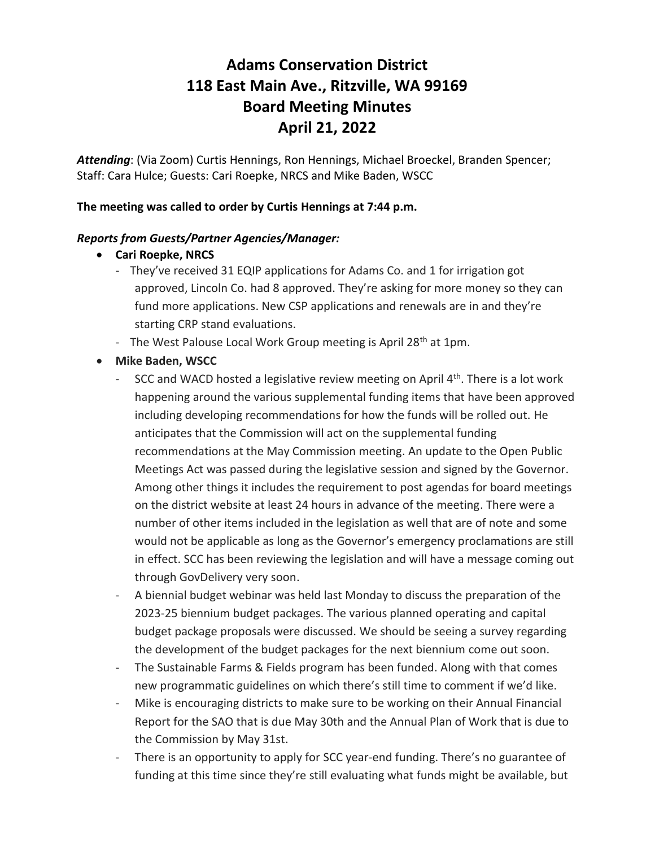# **Adams Conservation District 118 East Main Ave., Ritzville, WA 99169 Board Meeting Minutes April 21, 2022**

*Attending*: (Via Zoom) Curtis Hennings, Ron Hennings, Michael Broeckel, Branden Spencer; Staff: Cara Hulce; Guests: Cari Roepke, NRCS and Mike Baden, WSCC

## **The meeting was called to order by Curtis Hennings at 7:44 p.m.**

### *Reports from Guests/Partner Agencies/Manager:*

- **Cari Roepke, NRCS**
	- They've received 31 EQIP applications for Adams Co. and 1 for irrigation got approved, Lincoln Co. had 8 approved. They're asking for more money so they can fund more applications. New CSP applications and renewals are in and they're starting CRP stand evaluations.
	- The West Palouse Local Work Group meeting is April 28<sup>th</sup> at 1pm.
- **Mike Baden, WSCC**
	- SCC and WACD hosted a legislative review meeting on April  $4<sup>th</sup>$ . There is a lot work happening around the various supplemental funding items that have been approved including developing recommendations for how the funds will be rolled out. He anticipates that the Commission will act on the supplemental funding recommendations at the May Commission meeting. An update to the Open Public Meetings Act was passed during the legislative session and signed by the Governor. Among other things it includes the requirement to post agendas for board meetings on the district website at least 24 hours in advance of the meeting. There were a number of other items included in the legislation as well that are of note and some would not be applicable as long as the Governor's emergency proclamations are still in effect. SCC has been reviewing the legislation and will have a message coming out through GovDelivery very soon.
	- A biennial budget webinar was held last Monday to discuss the preparation of the 2023-25 biennium budget packages. The various planned operating and capital budget package proposals were discussed. We should be seeing a survey regarding the development of the budget packages for the next biennium come out soon.
	- The Sustainable Farms & Fields program has been funded. Along with that comes new programmatic guidelines on which there's still time to comment if we'd like.
	- Mike is encouraging districts to make sure to be working on their Annual Financial Report for the SAO that is due May 30th and the Annual Plan of Work that is due to the Commission by May 31st.
	- There is an opportunity to apply for SCC year-end funding. There's no guarantee of funding at this time since they're still evaluating what funds might be available, but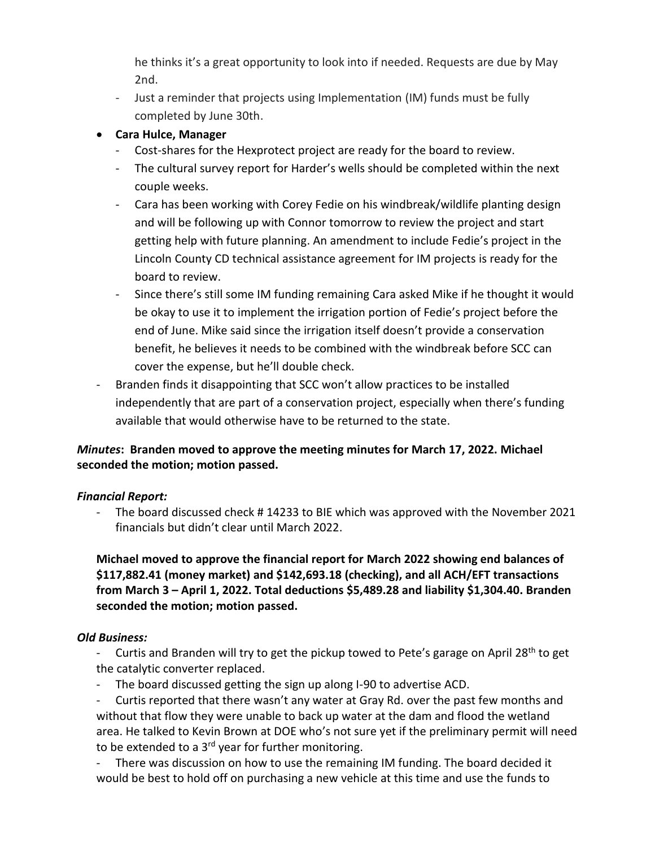he thinks it's a great opportunity to look into if needed. Requests are due by May 2nd.

- Just a reminder that projects using Implementation (IM) funds must be fully completed by June 30th.

# • **Cara Hulce, Manager**

- Cost-shares for the Hexprotect project are ready for the board to review.
- The cultural survey report for Harder's wells should be completed within the next couple weeks.
- Cara has been working with Corey Fedie on his windbreak/wildlife planting design and will be following up with Connor tomorrow to review the project and start getting help with future planning. An amendment to include Fedie's project in the Lincoln County CD technical assistance agreement for IM projects is ready for the board to review.
- Since there's still some IM funding remaining Cara asked Mike if he thought it would be okay to use it to implement the irrigation portion of Fedie's project before the end of June. Mike said since the irrigation itself doesn't provide a conservation benefit, he believes it needs to be combined with the windbreak before SCC can cover the expense, but he'll double check.
- Branden finds it disappointing that SCC won't allow practices to be installed independently that are part of a conservation project, especially when there's funding available that would otherwise have to be returned to the state.

# *Minutes***: Branden moved to approve the meeting minutes for March 17, 2022. Michael seconded the motion; motion passed.**

# *Financial Report:*

The board discussed check # 14233 to BIE which was approved with the November 2021 financials but didn't clear until March 2022.

**Michael moved to approve the financial report for March 2022 showing end balances of \$117,882.41 (money market) and \$142,693.18 (checking), and all ACH/EFT transactions from March 3 – April 1, 2022. Total deductions \$5,489.28 and liability \$1,304.40. Branden seconded the motion; motion passed.**

# *Old Business:*

- Curtis and Branden will try to get the pickup towed to Pete's garage on April 28<sup>th</sup> to get the catalytic converter replaced.
- The board discussed getting the sign up along I-90 to advertise ACD.
- Curtis reported that there wasn't any water at Gray Rd. over the past few months and without that flow they were unable to back up water at the dam and flood the wetland area. He talked to Kevin Brown at DOE who's not sure yet if the preliminary permit will need to be extended to a 3<sup>rd</sup> year for further monitoring.

- There was discussion on how to use the remaining IM funding. The board decided it would be best to hold off on purchasing a new vehicle at this time and use the funds to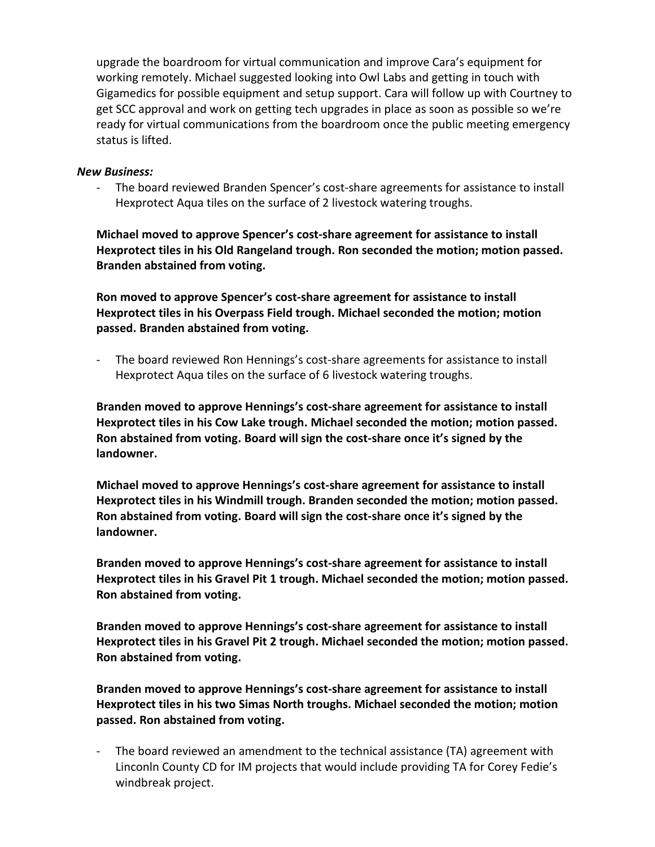upgrade the boardroom for virtual communication and improve Cara's equipment for working remotely. Michael suggested looking into Owl Labs and getting in touch with Gigamedics for possible equipment and setup support. Cara will follow up with Courtney to get SCC approval and work on getting tech upgrades in place as soon as possible so we're ready for virtual communications from the boardroom once the public meeting emergency status is lifted.

#### *New Business:*

- The board reviewed Branden Spencer's cost-share agreements for assistance to install Hexprotect Aqua tiles on the surface of 2 livestock watering troughs.

**Michael moved to approve Spencer's cost-share agreement for assistance to install Hexprotect tiles in his Old Rangeland trough. Ron seconded the motion; motion passed. Branden abstained from voting.**

**Ron moved to approve Spencer's cost-share agreement for assistance to install Hexprotect tiles in his Overpass Field trough. Michael seconded the motion; motion passed. Branden abstained from voting.**

- The board reviewed Ron Hennings's cost-share agreements for assistance to install Hexprotect Aqua tiles on the surface of 6 livestock watering troughs.

**Branden moved to approve Hennings's cost-share agreement for assistance to install Hexprotect tiles in his Cow Lake trough. Michael seconded the motion; motion passed. Ron abstained from voting. Board will sign the cost-share once it's signed by the landowner.**

**Michael moved to approve Hennings's cost-share agreement for assistance to install Hexprotect tiles in his Windmill trough. Branden seconded the motion; motion passed. Ron abstained from voting. Board will sign the cost-share once it's signed by the landowner.**

**Branden moved to approve Hennings's cost-share agreement for assistance to install Hexprotect tiles in his Gravel Pit 1 trough. Michael seconded the motion; motion passed. Ron abstained from voting.**

**Branden moved to approve Hennings's cost-share agreement for assistance to install Hexprotect tiles in his Gravel Pit 2 trough. Michael seconded the motion; motion passed. Ron abstained from voting.**

**Branden moved to approve Hennings's cost-share agreement for assistance to install Hexprotect tiles in his two Simas North troughs. Michael seconded the motion; motion passed. Ron abstained from voting.**

- The board reviewed an amendment to the technical assistance (TA) agreement with Linconln County CD for IM projects that would include providing TA for Corey Fedie's windbreak project.